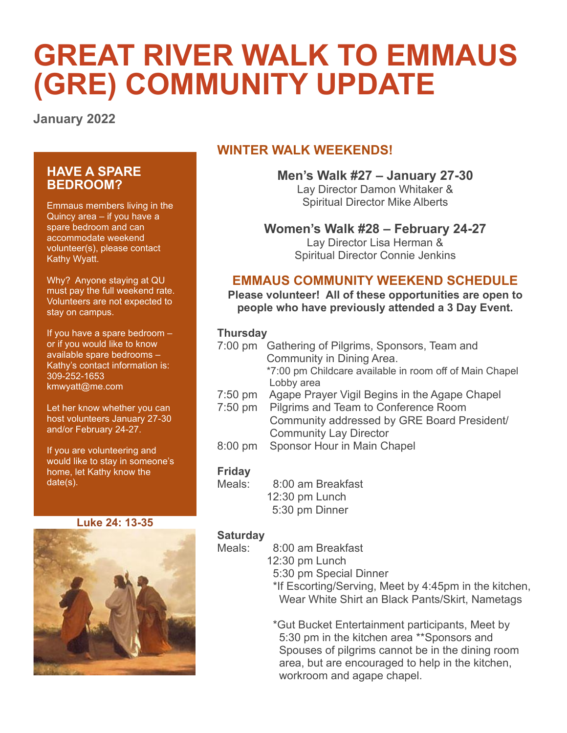# **GREAT RIVER WALK TO EMMAUS (GRE) COMMUNITY UPDATE**

**January 2022**

# **HAVE A SPARE BEDROOM?**

Emmaus members living in the Quincy area – if you have a spare bedroom and can accommodate weekend volunteer(s), please contact Kathy Wyatt.

Why? Anyone staying at QU must pay the full weekend rate. Volunteers are not expected to stay on campus.

If you have a spare bedroom – or if you would like to know available spare bedrooms – Kathy's contact information is: 309-252-1653 [kmwyatt@me.com](mailto:kmwyatt@me.com)

Let her know whether you can host volunteers January 27-30 and/or February 24-27.

If you are volunteering and would like to stay in someone's home, let Kathy know the date(s).

#### **Luke 24: 13-35**



# **WINTER WALK WEEKENDS!**

**Men's Walk #27 – January 27-30** Lay Director Damon Whitaker & Spiritual Director Mike Alberts

## **Women's Walk #28 – February 24-27**

Lay Director Lisa Herman & Spiritual Director Connie Jenkins

## **EMMAUS COMMUNITY WEEKEND SCHEDULE**

**Please volunteer! All of these opportunities are open to people who have previously attended a 3 Day Event.**

#### **Thursday**

|           | 7:00 pm Gathering of Pilgrims, Sponsors, Team and       |
|-----------|---------------------------------------------------------|
|           | Community in Dining Area.                               |
|           | *7:00 pm Childcare available in room off of Main Chapel |
|           | Lobby area                                              |
| $7:50$ pm | Agape Prayer Vigil Begins in the Agape Chapel           |

- 7:50 pm Pilgrims and Team to Conference Room
	- Community addressed by GRE Board President/ Community Lay Director
- 8:00 pm Sponsor Hour in Main Chapel

#### **Friday**

- Meals: 8:00 am Breakfast 12:30 pm Lunch
	- 5:30 pm Dinner

#### **Saturday**

Meals: 8:00 am Breakfast

- 12:30 pm Lunch
	- 5:30 pm Special Dinner
	- \*If Escorting/Serving, Meet by 4:45pm in the kitchen, Wear White Shirt an Black Pants/Skirt, Nametags

\*Gut Bucket Entertainment participants, Meet by 5:30 pm in the kitchen area \*\*Sponsors and Spouses of pilgrims cannot be in the dining room area, but are encouraged to help in the kitchen, workroom and agape chapel.